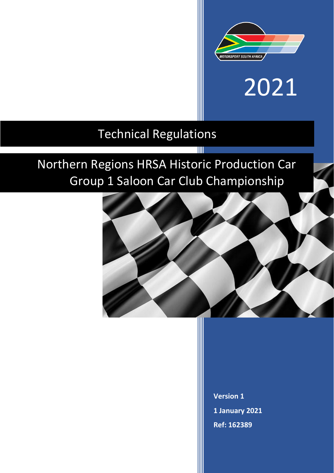

# 2021

### Technical Regulations

## Northern Regions HRSA Historic Production Car Group 1 Saloon Car Club Championship

T



**Version 1 1 January 2021 Ref: 162389**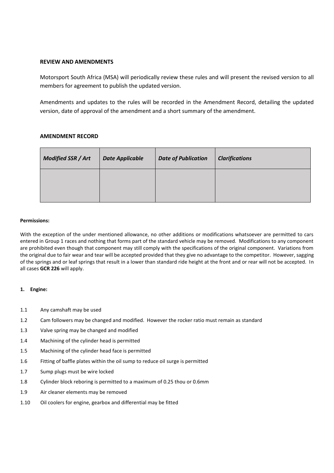#### **REVIEW AND AMENDMENTS**

Motorsport South Africa (MSA) will periodically review these rules and will present the revised version to all members for agreement to publish the updated version.

Amendments and updates to the rules will be recorded in the Amendment Record, detailing the updated version, date of approval of the amendment and a short summary of the amendment.

#### **AMENDMENT RECORD**

| Modified SSR / Art | <b>Date Applicable</b> | <b>Date of Publication</b> | <b>Clarifications</b> |
|--------------------|------------------------|----------------------------|-----------------------|
|                    |                        |                            |                       |

#### **Permissions:**

With the exception of the under mentioned allowance, no other additions or modifications whatsoever are permitted to cars entered in Group 1 races and nothing that forms part of the standard vehicle may be removed. Modifications to any component are prohibited even though that component may still comply with the specifications of the original component. Variations from the original due to fair wear and tear will be accepted provided that they give no advantage to the competitor. However, sagging of the springs and or leaf springs that result in a lower than standard ride height at the front and or rear will not be accepted. In all cases **GCR 226** will apply.

#### **1. Engine:**

- 1.1 Any camshaft may be used
- 1.2 Cam followers may be changed and modified. However the rocker ratio must remain as standard
- 1.3 Valve spring may be changed and modified
- 1.4 Machining of the cylinder head is permitted
- 1.5 Machining of the cylinder head face is permitted
- 1.6 Fitting of baffle plates within the oil sump to reduce oil surge is permitted
- 1.7 Sump plugs must be wire locked
- 1.8 Cylinder block reboring is permitted to a maximum of 0.25 thou or 0.6mm
- 1.9 Air cleaner elements may be removed
- 1.10 Oil coolers for engine, gearbox and differential may be fitted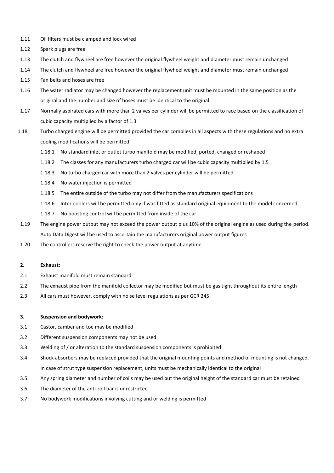- 1.11 Oil filters must be clamped and lock wired
- 1.12 Spark plugs are free
- 1.13 The clutch and flywheel are free however the original flywheel weight and diameter must remain unchanged
- 1.14 The clutch and flywheel are free however the original flywheel weight and diameter must remain unchanged
- 1.15 Fan belts and hoses are free
- 1.16 The water radiator may be changed however the replacement unit must be mounted in the same position as the original and the number and size of hoses must be identical to the original
- 1.17 Normally aspirated cars with more than 2 valves per cylinder will be permitted to race based on the classification of cubic capacity multiplied by a factor of 1.3
- 1.18 Turbo charged engine will be permitted provided the car complies in all aspects with these regulations and no extra cooling modifications will be permitted
	- 1.18.1 No standard inlet or outlet turbo manifold may be modified, ported, changed or reshaped
	- 1.18.2 The classes for any manufacturers turbo charged car will be cubic capacity multiplied by 1.5
	- 1.18.3 No turbo charged car with more than 2 valves per cylinder will be permitted
	- 1.18.4 No water injection is permitted
	- 1.18.5 The entire outside of the turbo may not differ from the manufacturers specifications
	- 1.18.6 Inter-coolers will be permitted only if was fitted as standard original equipment to the model concerned
	- 1.18.7 No boosting control will be permitted from inside of the car
- 1.19 The engine power output may not exceed the power output plus 10% of the original engine as used during the period. Auto Data Digest will be used to ascertain the manufacturers original power output figures
- 1.20 The controllers reserve the right to check the power output at anytime

#### **2. Exhaust:**

- 2.1 Exhaust manifold must remain standard
- 2.2 The exhaust pipe from the manifold collector may be modified but must be gas tight throughout its entire length
- 2.3 All cars must however, comply with noise level regulations as per GCR 245

#### **3. Suspension and bodywork:**

- 3.1 Castor, camber and toe may be modified
- 3.2 Different suspension components may not be used
- 3.3 Welding of / or alteration to the standard suspension components is prohibited
- 3.4 Shock absorbers may be replaced provided that the original mounting points and method of mounting is not changed. In case of strut type suspension replacement, units must be mechanically identical to the original
- 3.5 Any spring diameter and number of coils may be used but the original height of the standard car must be retained
- 3.6 The diameter of the anti-roll bar is unrestricted
- 3.7 No bodywork modifications involving cutting and or welding is permitted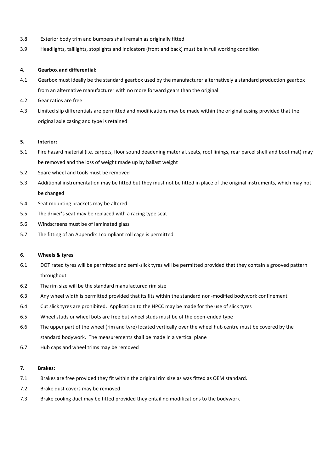- 3.8 Exterior body trim and bumpers shall remain as originally fitted
- 3.9 Headlights, taillights, stoplights and indicators (front and back) must be in full working condition

#### **4. Gearbox and differential:**

- 4.1 Gearbox must ideally be the standard gearbox used by the manufacturer alternatively a standard production gearbox from an alternative manufacturer with no more forward gears than the original
- 4.2 Gear ratios are free
- 4.3 Limited slip differentials are permitted and modifications may be made within the original casing provided that the original axle casing and type is retained

#### **5. Interior:**

- 5.1 Fire hazard material (i.e. carpets, floor sound deadening material, seats, roof linings, rear parcel shelf and boot mat) may be removed and the loss of weight made up by ballast weight
- 5.2 Spare wheel and tools must be removed
- 5.3 Additional instrumentation may be fitted but they must not be fitted in place of the original instruments, which may not be changed
- 5.4 Seat mounting brackets may be altered
- 5.5 The driver's seat may be replaced with a racing type seat
- 5.6 Windscreens must be of laminated glass
- 5.7 The fitting of an Appendix J compliant roll cage is permitted

#### **6. Wheels & tyres**

- 6.1 DOT rated tyres will be permitted and semi-slick tyres will be permitted provided that they contain a grooved pattern throughout
- 6.2 The rim size will be the standard manufactured rim size
- 6.3 Any wheel width is permitted provided that its fits within the standard non-modified bodywork confinement
- 6.4 Cut slick tyres are prohibited. Application to the HPCC may be made for the use of slick tyres
- 6.5 Wheel studs or wheel bots are free but wheel studs must be of the open-ended type
- 6.6 The upper part of the wheel (rim and tyre) located vertically over the wheel hub centre must be covered by the standard bodywork. The measurements shall be made in a vertical plane
- 6.7 Hub caps and wheel trims may be removed

#### **7. Brakes:**

- 7.1 Brakes are free provided they fit within the original rim size as was fitted as OEM standard.
- 7.2 Brake dust covers may be removed
- 7.3 Brake cooling duct may be fitted provided they entail no modifications to the bodywork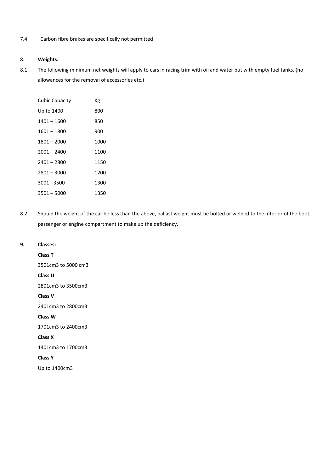#### 7.4 Carbon fibre brakes are specifically not permitted

#### 8. **Weights:**

8.1 The following minimum net weights will apply to cars in racing trim with oil and water but with empty fuel tanks. (no allowances for the removal of accessories etc.)

| Cubic Capacity | Кg   |
|----------------|------|
| Up to 1400     | 800  |
| 1401 – 1600    | 850  |
| 1601 - 1800    | 900  |
| 1801-2000      | 1000 |
| 2001 – 2400    | 1100 |
| 2401 - 2800    | 1150 |
| 2801 – 3000    | 1200 |
| 3001 - 3500    | 1300 |
| 3501 - 5000    | 1350 |

8.2 Should the weight of the car be less than the above, ballast weight must be bolted or welded to the interior of the boot, passenger or engine compartment to make up the deficiency.

#### **9. Classes:**

**Class T** 3501cm3 to 5000 cm3 **Class U** 2801cm3 to 3500cm3 **Class V** 2401cm3 to 2800cm3 **Class W** 1701cm3 to 2400cm3 **Class X** 1401cm3 to 1700cm3 **Class Y** Up to 1400cm3